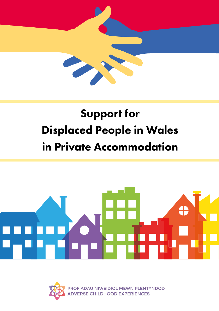

## Support for Displaced People in Wales in Private Accommodation



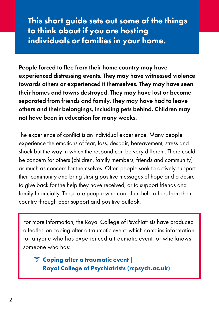This short guide sets out some of the things to think about if you are hosting individuals or families in your home.

People forced to flee from their home country may have experienced distressing events. They may have witnessed violence towards others or experienced it themselves. They may have seen their homes and towns destroyed. They may have lost or become separated from friends and family. They may have had to leave others and their belongings, including pets behind. Children may not have been in education for many weeks.

The experience of conflict is an individual experience. Many people experience the emotions of fear, loss, despair, bereavement, stress and shock but the way in which the respond can be very different. There could be concern for others (children, family members, friends and community) as much as concern for themselves. Often people seek to actively support their community and bring strong positive messages of hope and a desire to give back for the help they have received, or to support friends and family financially. These are people who can often help others from their country through peer support and positive outlook.

For more information, the Royal College of Psychiatrists have produced a leaflet on coping after a traumatic event, which contains information for anyone who has experienced a traumatic event, or who knows someone who has:

[Coping after a traumatic event |](https://eur01.safelinks.protection.outlook.com/?url=https%3A%2F%2Fwww.rcpsych.ac.uk%2Fmental-health%2Fproblems-disorders%2Fcoping-after-a-traumatic-event&data=04%7C01%7CBeverley.Morgan%40gov.wales%7Cdd15b56d85bd45ad529708da0024b88e%7Ca2cc36c592804ae78887d06dab89216b%7C0%7C0%7C637822454955485364%7CUnknown%7CTWFpbGZsb3d8eyJWIjoiMC4wLjAwMDAiLCJQIjoiV2luMzIiLCJBTiI6Ik1haWwiLCJXVCI6Mn0%3D%7C3000&sdata=Xs4Alw%2Bs6lCifwuRfj8GDWox6xZkBXCYm6tSjDiPe%2FI%3D&reserved=0)  [Royal College of Psychiatrists \(rcpsych.ac.uk\)](https://eur01.safelinks.protection.outlook.com/?url=https%3A%2F%2Fwww.rcpsych.ac.uk%2Fmental-health%2Fproblems-disorders%2Fcoping-after-a-traumatic-event&data=04%7C01%7CBeverley.Morgan%40gov.wales%7Cdd15b56d85bd45ad529708da0024b88e%7Ca2cc36c592804ae78887d06dab89216b%7C0%7C0%7C637822454955485364%7CUnknown%7CTWFpbGZsb3d8eyJWIjoiMC4wLjAwMDAiLCJQIjoiV2luMzIiLCJBTiI6Ik1haWwiLCJXVCI6Mn0%3D%7C3000&sdata=Xs4Alw%2Bs6lCifwuRfj8GDWox6xZkBXCYm6tSjDiPe%2FI%3D&reserved=0)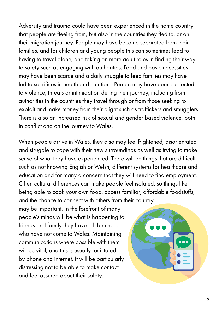Adversity and trauma could have been experienced in the home country that people are fleeing from, but also in the countries they fled to, or on their migration journey. People may have become separated from their families, and for children and young people this can sometimes lead to having to travel alone, and taking on more adult roles in finding their way to safety such as engaging with authorities. Food and basic necessities may have been scarce and a daily struggle to feed families may have led to sacrifices in health and nutrition. People may have been subjected to violence, threats or intimidation during their journey, including from authorities in the countries they travel through or from those seeking to exploit and make money from their plight such as traffickers and smugglers. There is also an increased risk of sexual and gender based violence, both in conflict and on the journey to Wales.

When people arrive in Wales, they also may feel frightened, disorientated and struggle to cope with their new surroundings as well as trying to make sense of what they have experienced. There will be things that are difficult such as not knowing English or Welsh, different systems for healthcare and education and for many a concern that they will need to find employment. Often cultural differences can make people feel isolated, so things like being able to cook your own food, access familiar, affordable foodstuffs, and the chance to connect with others from their country

may be important. In the forefront of many people's minds will be what is happening to friends and family they have left behind or who have not come to Wales. Maintaining communications where possible with them will be vital, and this is usually facilitated by phone and internet. It will be particularly distressing not to be able to make contact and feel assured about their safety.

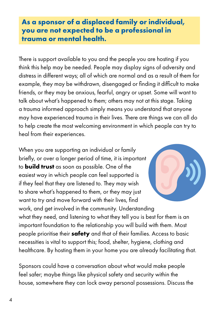## **As a sponsor of a displaced family or individual, you are not expected to be a professional in trauma or mental health**.

There is support available to you and the people you are hosting if you think this help may be needed. People may display signs of adversity and distress in different ways; all of which are normal and as a result of them for example, they may be withdrawn, disengaged or finding it difficult to make friends, or they may be anxious, fearful, angry or upset. Some will want to talk about what's happened to them; others may not at this stage. Taking a trauma informed approach simply means you understand that anyone may have experienced trauma in their lives. There are things we can all do to help create the most welcoming environment in which people can try to heal from their experiences.

When you are supporting an individual or family briefly, or over a longer period of time, it is important to **build trust** as soon as possible. One of the easiest way in which people can feel supported is if they feel that they are listened to. They may wish to share what's happened to them, or they may just want to try and move forward with their lives, find work, and get involved in the community. Understanding what they need, and listening to what they tell you is best for them is an important foundation to the relationship you will build with them. Most people prioritise their **safety** and that of their families. Access to basic necessities is vital to support this; food, shelter, hygiene, clothing and healthcare. By hosting them in your home you are already facilitating that.

Sponsors could have a conversation about what would make people feel safer; maybe things like physical safety and security within the house, somewhere they can lock away personal possessions. Discuss the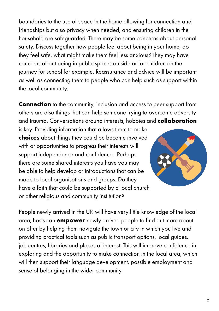boundaries to the use of space in the home allowing for connection and friendships but also privacy when needed, and ensuring children in the household are safeguarded. There may be some concerns about personal safety. Discuss together how people feel about being in your home, do they feel safe, what might make them feel less anxious? They may have concerns about being in public spaces outside or for children on the journey for school for example. Reassurance and advice will be important as well as connecting them to people who can help such as support within the local community.

**Connection** to the community, inclusion and access to peer support from others are also things that can help someone trying to overcome adversity and trauma. Conversations around interests, hobbies and **collaboration**

is key. Providing information that allows them to make **choices** about things they could be become involved with or opportunities to progress their interests will support independence and confidence. Perhaps there are some shared interests you have you may be able to help develop or introductions that can be made to local organisations and groups. Do they have a faith that could be supported by a local church or other religious and community institution?



People newly arrived in the UK will have very little knowledge of the local area; hosts can **empower** newly arrived people to find out more about on offer by helping them navigate the town or city in which you live and providing practical tools such as public transport options, local guides, job centres, libraries and places of interest. This will improve confidence in exploring and the opportunity to make connection in the local area, which will then support their language development, possible employment and sense of belonging in the wider community.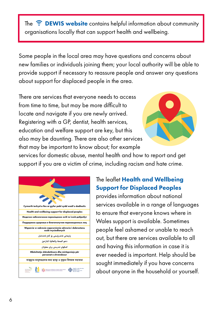The  $\widehat{\mathbb{R}}$  **[DEWIS website](https://www.dewis.wales/the-place-for-wellbeing-in-wales)** contains helpful information about community organisations locally that can support health and wellbeing.

Some people in the local area may have questions and concerns about new families or individuals joining them; your local authority will be able to provide support if necessary to reassure people and answer any questions about support for displaced people in the area.

There are services that everyone needs to access from time to time, but may be more difficult to locate and navigate if you are newly arrived. Registering with a GP, dentist, health services, education and welfare support are key, but this also may be daunting. There are also other services that may be important to know about; for example



services for domestic abuse, mental health and how to report and get support if you are a victim of crime, including racism and hate crime.

| Cymorth iechyd a lles ar gyfer pobl sydd wedi'u dadleolis                                              |
|--------------------------------------------------------------------------------------------------------|
| Health and wellbeing support for displaced peoples                                                     |
| Медичне забезпечення переміщених осіб та їхній добробут                                                |
| Поддержка здоровья и благополучия перемещенных лиц                                                     |
| Wsparcie w zakresie zapewnienia zdrowia i dobrostanu<br>osób wysiedlonych                              |
| يارمەتى تەندرۆستى بۆ كەم ئەندامان                                                                      |
| دعم الصحة والعافية للنازحن                                                                             |
| کمکهای تندرستی ىرای معلولان                                                                            |
| Mbështetje shëndetësore dhe mirëqenieje për<br>personat e zhvendosur                                   |
| বাস্তুচ্যত মানুষগুলোর জন্য স্বাস্থ্য ও সুস্থতা বিষয়ক সহায়তা                                          |
| <b>GIG Second</b><br><b>OUT PROFULDAU NIMEIDIOL MEMIN PLENTINDOD</b><br>CONTRESE CHILDHOOD EXPERIENCES |

## The leaflet [Health and Wellbeing](https://aceawarewales.com/wp-content/uploads/2022/04/Health-Wellbeing-Support-Leaflet-for-Displaced-Peoples-2022.pdf)  [Support for Displaced Peoples](https://aceawarewales.com/wp-content/uploads/2022/04/Health-Wellbeing-Support-Leaflet-for-Displaced-Peoples-2022.pdf)

provides information about national services available in a range of languages to ensure that everyone knows where in Wales support is available. Sometimes people feel ashamed or unable to reach out, but there are services available to all and having this information in case it is ever needed is important. Help should be sought immediately if you have concerns about anyone in the household or yourself.